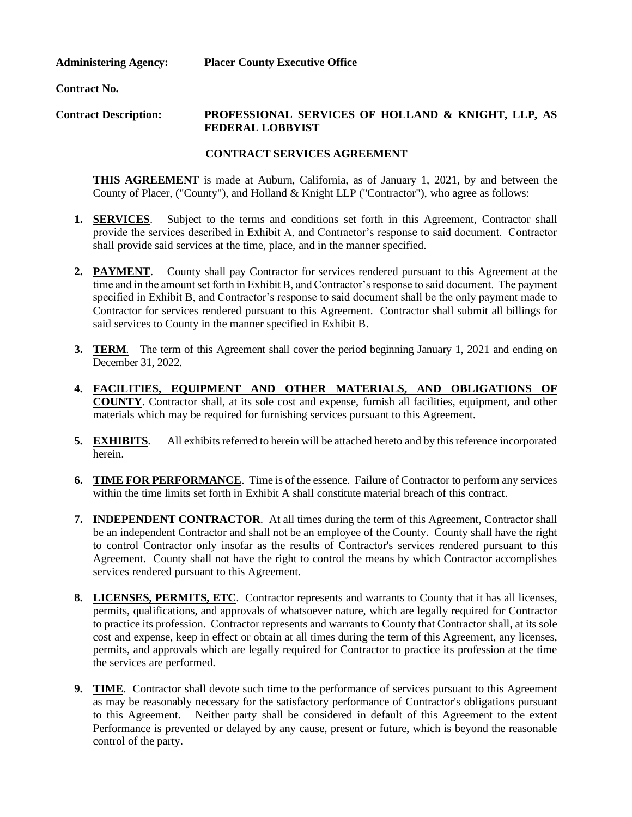**Administering Agency:**

**Placer County Executive Office** 

**Contract No.**

#### **Contract Description: PROFESSIONAL SERVICES OF HOLLAND & KNIGHT, LLP, AS FEDERAL LOBBYIST**

# **CONTRACT SERVICES AGREEMENT**

**THIS AGREEMENT** is made at Auburn, California, as of January 1, 2021, by and between the County of Placer, ("County"), and Holland & Knight LLP ("Contractor"), who agree as follows:

- **1. SERVICES**. Subject to the terms and conditions set forth in this Agreement, Contractor shall provide the services described in Exhibit A, and Contractor's response to said document. Contractor shall provide said services at the time, place, and in the manner specified.
- **2. PAYMENT**. County shall pay Contractor for services rendered pursuant to this Agreement at the time and in the amount set forth in Exhibit B, and Contractor's response to said document. The payment specified in Exhibit B, and Contractor's response to said document shall be the only payment made to Contractor for services rendered pursuant to this Agreement. Contractor shall submit all billings for said services to County in the manner specified in Exhibit B.
- **3. TERM**. The term of this Agreement shall cover the period beginning January 1, 2021 and ending on December 31, 2022.
- **4. FACILITIES, EQUIPMENT AND OTHER MATERIALS, AND OBLIGATIONS OF COUNTY**. Contractor shall, at its sole cost and expense, furnish all facilities, equipment, and other materials which may be required for furnishing services pursuant to this Agreement.
- **5. EXHIBITS**. All exhibits referred to herein will be attached hereto and by this reference incorporated herein.
- **6. TIME FOR PERFORMANCE**. Time is of the essence. Failure of Contractor to perform any services within the time limits set forth in Exhibit A shall constitute material breach of this contract.
- **7. INDEPENDENT CONTRACTOR**. At all times during the term of this Agreement, Contractor shall be an independent Contractor and shall not be an employee of the County. County shall have the right to control Contractor only insofar as the results of Contractor's services rendered pursuant to this Agreement. County shall not have the right to control the means by which Contractor accomplishes services rendered pursuant to this Agreement.
- **8. LICENSES, PERMITS, ETC**. Contractor represents and warrants to County that it has all licenses, permits, qualifications, and approvals of whatsoever nature, which are legally required for Contractor to practice its profession. Contractor represents and warrants to County that Contractor shall, at its sole cost and expense, keep in effect or obtain at all times during the term of this Agreement, any licenses, permits, and approvals which are legally required for Contractor to practice its profession at the time the services are performed.
- **9. TIME**. Contractor shall devote such time to the performance of services pursuant to this Agreement as may be reasonably necessary for the satisfactory performance of Contractor's obligations pursuant to this Agreement. Neither party shall be considered in default of this Agreement to the extent Performance is prevented or delayed by any cause, present or future, which is beyond the reasonable control of the party.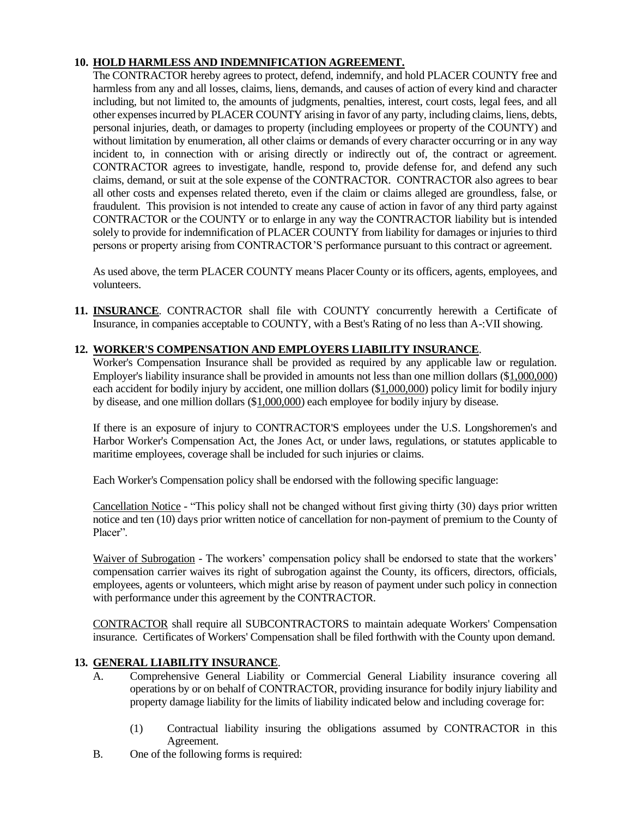# **10. HOLD HARMLESS AND INDEMNIFICATION AGREEMENT.**

The CONTRACTOR hereby agrees to protect, defend, indemnify, and hold PLACER COUNTY free and harmless from any and all losses, claims, liens, demands, and causes of action of every kind and character including, but not limited to, the amounts of judgments, penalties, interest, court costs, legal fees, and all other expenses incurred by PLACER COUNTY arising in favor of any party, including claims, liens, debts, personal injuries, death, or damages to property (including employees or property of the COUNTY) and without limitation by enumeration, all other claims or demands of every character occurring or in any way incident to, in connection with or arising directly or indirectly out of, the contract or agreement. CONTRACTOR agrees to investigate, handle, respond to, provide defense for, and defend any such claims, demand, or suit at the sole expense of the CONTRACTOR. CONTRACTOR also agrees to bear all other costs and expenses related thereto, even if the claim or claims alleged are groundless, false, or fraudulent. This provision is not intended to create any cause of action in favor of any third party against CONTRACTOR or the COUNTY or to enlarge in any way the CONTRACTOR liability but is intended solely to provide for indemnification of PLACER COUNTY from liability for damages or injuries to third persons or property arising from CONTRACTOR'S performance pursuant to this contract or agreement.

As used above, the term PLACER COUNTY means Placer County or its officers, agents, employees, and volunteers.

**11. INSURANCE**. CONTRACTOR shall file with COUNTY concurrently herewith a Certificate of Insurance, in companies acceptable to COUNTY, with a Best's Rating of no less than A-:VII showing.

# **12. WORKER'S COMPENSATION AND EMPLOYERS LIABILITY INSURANCE**.

Worker's Compensation Insurance shall be provided as required by any applicable law or regulation. Employer's liability insurance shall be provided in amounts not less than one million dollars (\$1,000,000) each accident for bodily injury by accident, one million dollars (\$1,000,000) policy limit for bodily injury by disease, and one million dollars (\$1,000,000) each employee for bodily injury by disease.

If there is an exposure of injury to CONTRACTOR'S employees under the U.S. Longshoremen's and Harbor Worker's Compensation Act, the Jones Act, or under laws, regulations, or statutes applicable to maritime employees, coverage shall be included for such injuries or claims.

Each Worker's Compensation policy shall be endorsed with the following specific language:

Cancellation Notice - "This policy shall not be changed without first giving thirty (30) days prior written notice and ten (10) days prior written notice of cancellation for non-payment of premium to the County of Placer".

Waiver of Subrogation - The workers' compensation policy shall be endorsed to state that the workers' compensation carrier waives its right of subrogation against the County, its officers, directors, officials, employees, agents or volunteers, which might arise by reason of payment under such policy in connection with performance under this agreement by the CONTRACTOR.

CONTRACTOR shall require all SUBCONTRACTORS to maintain adequate Workers' Compensation insurance. Certificates of Workers' Compensation shall be filed forthwith with the County upon demand.

# **13. GENERAL LIABILITY INSURANCE**.

- A. Comprehensive General Liability or Commercial General Liability insurance covering all operations by or on behalf of CONTRACTOR, providing insurance for bodily injury liability and property damage liability for the limits of liability indicated below and including coverage for:
	- (1) Contractual liability insuring the obligations assumed by CONTRACTOR in this Agreement.
- B. One of the following forms is required: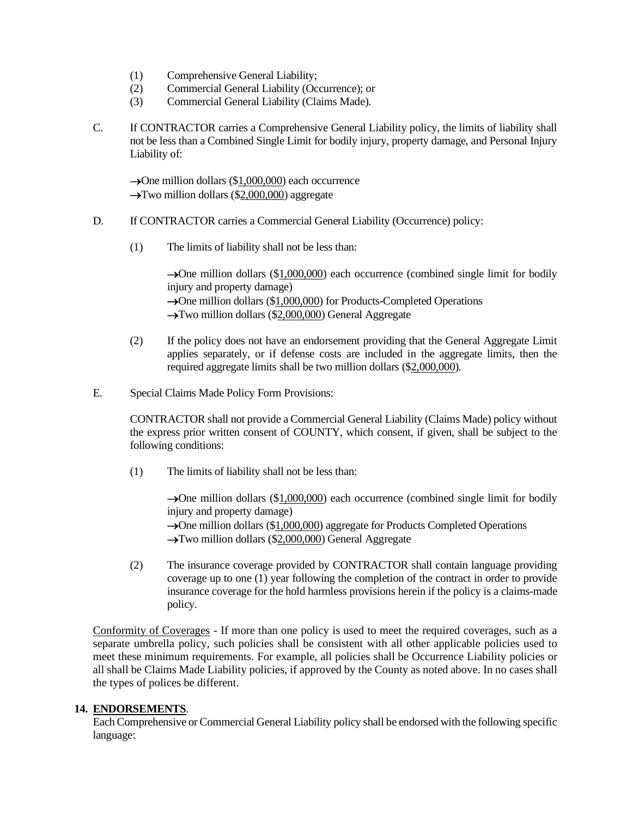- (1) Comprehensive General Liability;
- (2) Commercial General Liability (Occurrence); or
- (3) Commercial General Liability (Claims Made).
- C. If CONTRACTOR carries a Comprehensive General Liability policy, the limits of liability shall not be less than a Combined Single Limit for bodily injury, property damage, and Personal Injury Liability of:

 $\rightarrow$ One million dollars (\$1,000,000) each occurrence  $\rightarrow$ Two million dollars (\$2,000,000) aggregate

- D. If CONTRACTOR carries a Commercial General Liability (Occurrence) policy:
	- (1) The limits of liability shall not be less than:

→One million dollars (\$1,000,000) each occurrence (combined single limit for bodily injury and property damage) →One million dollars (\$1,000,000) for Products-Completed Operations →Two million dollars (\$2,000,000) General Aggregate

- (2) If the policy does not have an endorsement providing that the General Aggregate Limit applies separately, or if defense costs are included in the aggregate limits, then the required aggregate limits shall be two million dollars (\$2,000,000).
- E. Special Claims Made Policy Form Provisions:

CONTRACTOR shall not provide a Commercial General Liability (Claims Made) policy without the express prior written consent of COUNTY, which consent, if given, shall be subject to the following conditions:

(1) The limits of liability shall not be less than:

→One million dollars (\$1,000,000) each occurrence (combined single limit for bodily injury and property damage)

→One million dollars (\$1,000,000) aggregate for Products Completed Operations

→Two million dollars (\$2,000,000) General Aggregate

(2) The insurance coverage provided by CONTRACTOR shall contain language providing coverage up to one (1) year following the completion of the contract in order to provide insurance coverage for the hold harmless provisions herein if the policy is a claims-made policy.

Conformity of Coverages - If more than one policy is used to meet the required coverages, such as a separate umbrella policy, such policies shall be consistent with all other applicable policies used to meet these minimum requirements. For example, all policies shall be Occurrence Liability policies or all shall be Claims Made Liability policies, if approved by the County as noted above. In no cases shall the types of polices be different.

### **14. ENDORSEMENTS**.

Each Comprehensive or Commercial General Liability policy shall be endorsed with the following specific language: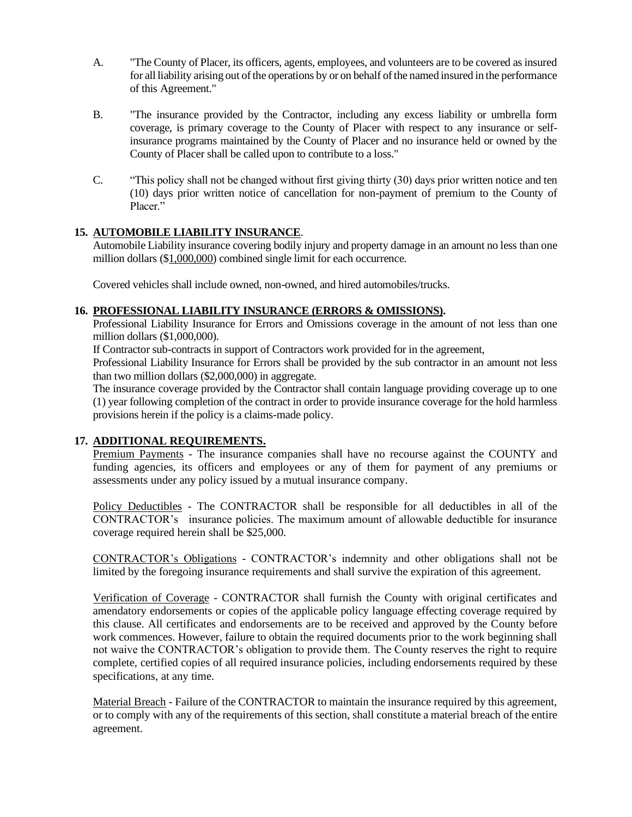- A. "The County of Placer, its officers, agents, employees, and volunteers are to be covered as insured for all liability arising out of the operations by or on behalf of the named insured in the performance of this Agreement."
- B. "The insurance provided by the Contractor, including any excess liability or umbrella form coverage, is primary coverage to the County of Placer with respect to any insurance or selfinsurance programs maintained by the County of Placer and no insurance held or owned by the County of Placer shall be called upon to contribute to a loss."
- C. "This policy shall not be changed without first giving thirty (30) days prior written notice and ten (10) days prior written notice of cancellation for non-payment of premium to the County of Placer."

# **15. AUTOMOBILE LIABILITY INSURANCE**.

Automobile Liability insurance covering bodily injury and property damage in an amount no less than one million dollars (\$1,000,000) combined single limit for each occurrence.

Covered vehicles shall include owned, non-owned, and hired automobiles/trucks.

# **16. PROFESSIONAL LIABILITY INSURANCE (ERRORS & OMISSIONS).**

Professional Liability Insurance for Errors and Omissions coverage in the amount of not less than one million dollars (\$1,000,000).

If Contractor sub-contracts in support of Contractors work provided for in the agreement,

Professional Liability Insurance for Errors shall be provided by the sub contractor in an amount not less than two million dollars (\$2,000,000) in aggregate.

The insurance coverage provided by the Contractor shall contain language providing coverage up to one (1) year following completion of the contract in order to provide insurance coverage for the hold harmless provisions herein if the policy is a claims-made policy.

### **17. ADDITIONAL REQUIREMENTS.**

Premium Payments - The insurance companies shall have no recourse against the COUNTY and funding agencies, its officers and employees or any of them for payment of any premiums or assessments under any policy issued by a mutual insurance company.

Policy Deductibles - The CONTRACTOR shall be responsible for all deductibles in all of the CONTRACTOR's insurance policies. The maximum amount of allowable deductible for insurance coverage required herein shall be \$25,000.

CONTRACTOR's Obligations - CONTRACTOR's indemnity and other obligations shall not be limited by the foregoing insurance requirements and shall survive the expiration of this agreement.

Verification of Coverage - CONTRACTOR shall furnish the County with original certificates and amendatory endorsements or copies of the applicable policy language effecting coverage required by this clause. All certificates and endorsements are to be received and approved by the County before work commences. However, failure to obtain the required documents prior to the work beginning shall not waive the CONTRACTOR's obligation to provide them. The County reserves the right to require complete, certified copies of all required insurance policies, including endorsements required by these specifications, at any time.

Material Breach - Failure of the CONTRACTOR to maintain the insurance required by this agreement, or to comply with any of the requirements of this section, shall constitute a material breach of the entire agreement.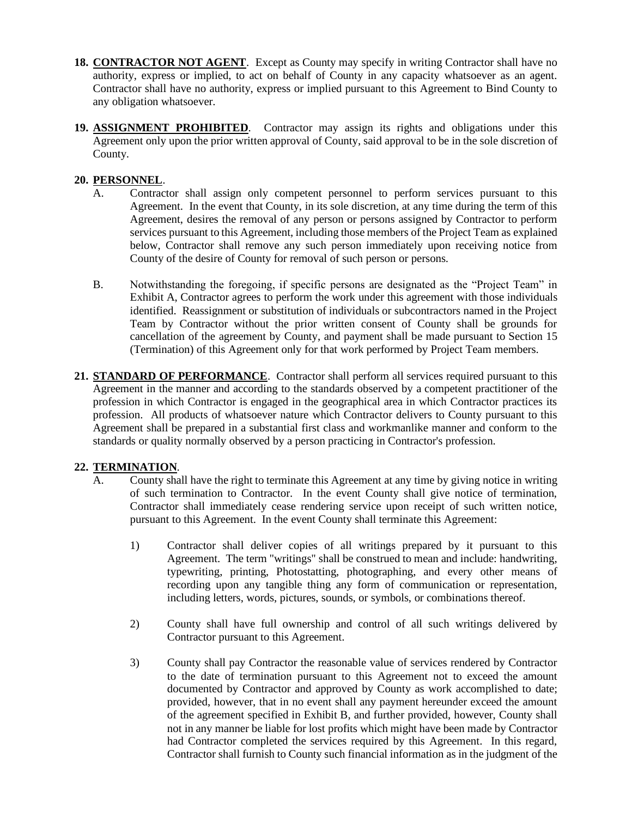- **18. CONTRACTOR NOT AGENT**. Except as County may specify in writing Contractor shall have no authority, express or implied, to act on behalf of County in any capacity whatsoever as an agent. Contractor shall have no authority, express or implied pursuant to this Agreement to Bind County to any obligation whatsoever.
- **19. ASSIGNMENT PROHIBITED**. Contractor may assign its rights and obligations under this Agreement only upon the prior written approval of County, said approval to be in the sole discretion of County.

# **20. PERSONNEL**.

- A. Contractor shall assign only competent personnel to perform services pursuant to this Agreement. In the event that County, in its sole discretion, at any time during the term of this Agreement, desires the removal of any person or persons assigned by Contractor to perform services pursuant to this Agreement, including those members of the Project Team as explained below, Contractor shall remove any such person immediately upon receiving notice from County of the desire of County for removal of such person or persons.
- B. Notwithstanding the foregoing, if specific persons are designated as the "Project Team" in Exhibit A, Contractor agrees to perform the work under this agreement with those individuals identified. Reassignment or substitution of individuals or subcontractors named in the Project Team by Contractor without the prior written consent of County shall be grounds for cancellation of the agreement by County, and payment shall be made pursuant to Section 15 (Termination) of this Agreement only for that work performed by Project Team members.
- **21. STANDARD OF PERFORMANCE**. Contractor shall perform all services required pursuant to this Agreement in the manner and according to the standards observed by a competent practitioner of the profession in which Contractor is engaged in the geographical area in which Contractor practices its profession. All products of whatsoever nature which Contractor delivers to County pursuant to this Agreement shall be prepared in a substantial first class and workmanlike manner and conform to the standards or quality normally observed by a person practicing in Contractor's profession.

# **22. TERMINATION**.

- A. County shall have the right to terminate this Agreement at any time by giving notice in writing of such termination to Contractor. In the event County shall give notice of termination, Contractor shall immediately cease rendering service upon receipt of such written notice, pursuant to this Agreement. In the event County shall terminate this Agreement:
	- 1) Contractor shall deliver copies of all writings prepared by it pursuant to this Agreement. The term "writings" shall be construed to mean and include: handwriting, typewriting, printing, Photostatting, photographing, and every other means of recording upon any tangible thing any form of communication or representation, including letters, words, pictures, sounds, or symbols, or combinations thereof.
	- 2) County shall have full ownership and control of all such writings delivered by Contractor pursuant to this Agreement.
	- 3) County shall pay Contractor the reasonable value of services rendered by Contractor to the date of termination pursuant to this Agreement not to exceed the amount documented by Contractor and approved by County as work accomplished to date; provided, however, that in no event shall any payment hereunder exceed the amount of the agreement specified in Exhibit B, and further provided, however, County shall not in any manner be liable for lost profits which might have been made by Contractor had Contractor completed the services required by this Agreement. In this regard, Contractor shall furnish to County such financial information as in the judgment of the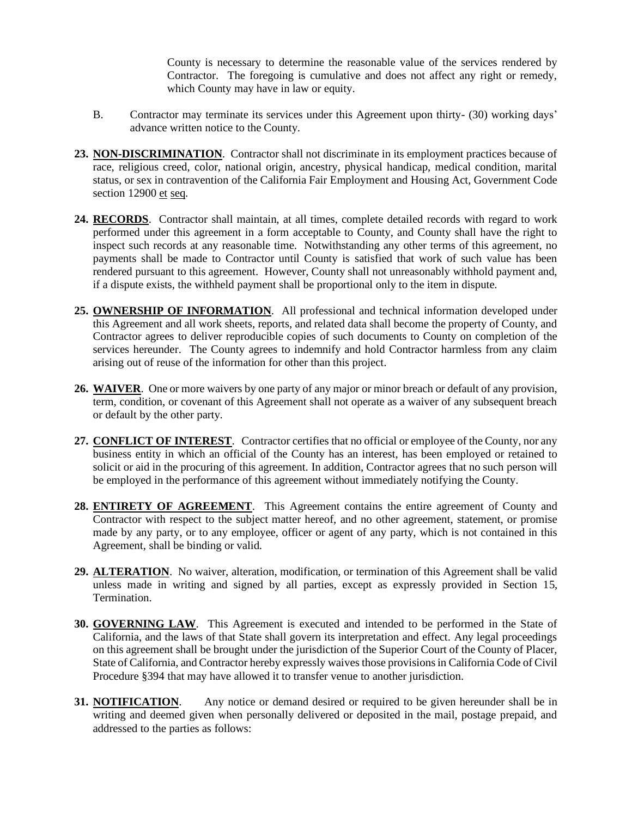County is necessary to determine the reasonable value of the services rendered by Contractor. The foregoing is cumulative and does not affect any right or remedy, which County may have in law or equity.

- B. Contractor may terminate its services under this Agreement upon thirty- (30) working days' advance written notice to the County.
- **23. NON-DISCRIMINATION**. Contractor shall not discriminate in its employment practices because of race, religious creed, color, national origin, ancestry, physical handicap, medical condition, marital status, or sex in contravention of the California Fair Employment and Housing Act, Government Code section 12900 et seq.
- **24. RECORDS**. Contractor shall maintain, at all times, complete detailed records with regard to work performed under this agreement in a form acceptable to County, and County shall have the right to inspect such records at any reasonable time. Notwithstanding any other terms of this agreement, no payments shall be made to Contractor until County is satisfied that work of such value has been rendered pursuant to this agreement. However, County shall not unreasonably withhold payment and, if a dispute exists, the withheld payment shall be proportional only to the item in dispute.
- **25. OWNERSHIP OF INFORMATION**. All professional and technical information developed under this Agreement and all work sheets, reports, and related data shall become the property of County, and Contractor agrees to deliver reproducible copies of such documents to County on completion of the services hereunder. The County agrees to indemnify and hold Contractor harmless from any claim arising out of reuse of the information for other than this project.
- **26. WAIVER**. One or more waivers by one party of any major or minor breach or default of any provision, term, condition, or covenant of this Agreement shall not operate as a waiver of any subsequent breach or default by the other party.
- **27. CONFLICT OF INTEREST**. Contractor certifies that no official or employee of the County, nor any business entity in which an official of the County has an interest, has been employed or retained to solicit or aid in the procuring of this agreement. In addition, Contractor agrees that no such person will be employed in the performance of this agreement without immediately notifying the County.
- **28. ENTIRETY OF AGREEMENT**. This Agreement contains the entire agreement of County and Contractor with respect to the subject matter hereof, and no other agreement, statement, or promise made by any party, or to any employee, officer or agent of any party, which is not contained in this Agreement, shall be binding or valid.
- **29. ALTERATION**. No waiver, alteration, modification, or termination of this Agreement shall be valid unless made in writing and signed by all parties, except as expressly provided in Section 15, Termination.
- **30. GOVERNING LAW**. This Agreement is executed and intended to be performed in the State of California, and the laws of that State shall govern its interpretation and effect. Any legal proceedings on this agreement shall be brought under the jurisdiction of the Superior Court of the County of Placer, State of California, and Contractor hereby expressly waives those provisions in California Code of Civil Procedure §394 that may have allowed it to transfer venue to another jurisdiction.
- **31. NOTIFICATION**. Any notice or demand desired or required to be given hereunder shall be in writing and deemed given when personally delivered or deposited in the mail, postage prepaid, and addressed to the parties as follows: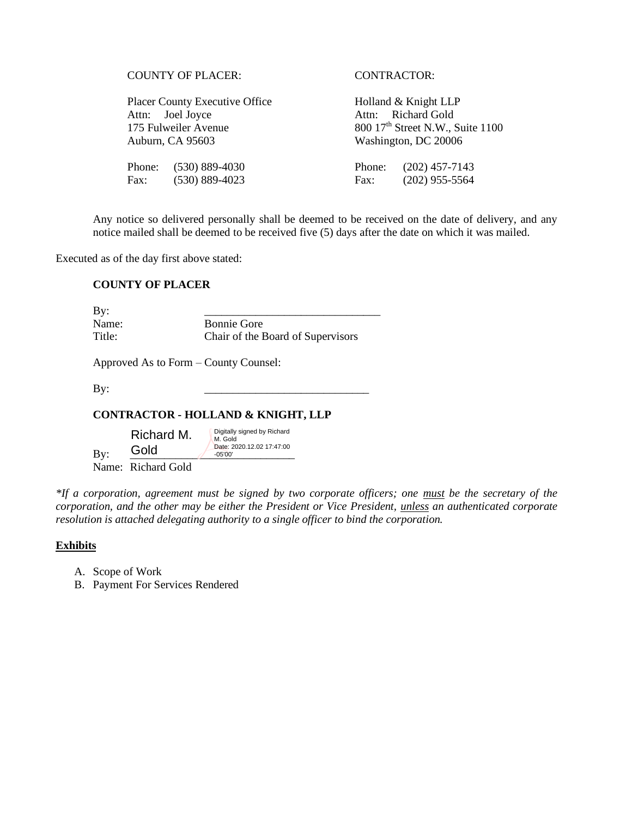|  | <b>COUNTY OF PLACER:</b> |
|--|--------------------------|
|--|--------------------------|

Placer County Executive Office Holland & Knight LLP Attn: Joel Joyce Attn: Richard Gold Auburn, CA 95603 Washington, DC 20006

Fax: (530) 889-4023 Fax: (202) 955-5564

### CONTRACTOR:

175 Fulweiler Avenue  $800\,17<sup>th</sup>$  Street N.W., Suite 1100

Phone: (530) 889-4030 Phone: (202) 457-7143

Any notice so delivered personally shall be deemed to be received on the date of delivery, and any notice mailed shall be deemed to be received five (5) days after the date on which it was mailed.

Executed as of the day first above stated:

### **COUNTY OF PLACER**

By: \_\_\_\_\_\_\_\_\_\_\_\_\_\_\_\_\_\_\_\_\_\_\_\_\_\_\_\_\_\_\_ Name: Bonnie Gore Title: Chair of the Board of Supervisors

Approved As to Form – County Counsel:

By: \_\_\_\_\_\_\_\_\_\_\_\_\_\_\_\_\_\_\_\_\_\_\_\_\_\_\_\_\_

### **CONTRACTOR - HOLLAND & KNIGHT, LLP**

 $\text{By:}$   $\frac{\text{GOLG}}{\text{OIC}}$   $\frac{\text{GOLG}}{\text{O5'00'}}$ Richard M. Gold Digitally signed by Richard M. Gold Date: 2020.12.02 17:47:00 -05'00'

Name: Richard Gold

*\*If a corporation, agreement must be signed by two corporate officers; one must be the secretary of the corporation, and the other may be either the President or Vice President, unless an authenticated corporate resolution is attached delegating authority to a single officer to bind the corporation.*

### **Exhibits**

- A. Scope of Work
- B. Payment For Services Rendered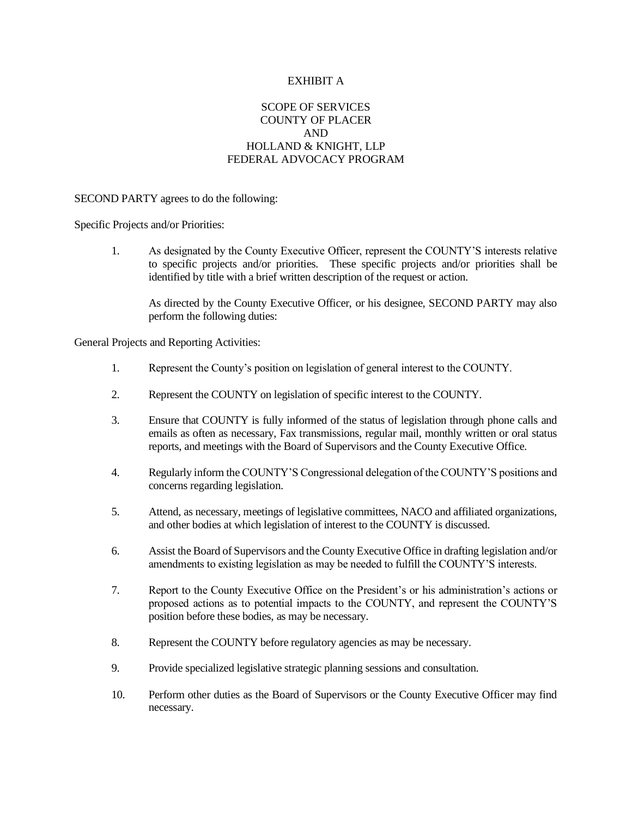### EXHIBIT A

# SCOPE OF SERVICES COUNTY OF PLACER AND HOLLAND & KNIGHT, LLP FEDERAL ADVOCACY PROGRAM

#### SECOND PARTY agrees to do the following:

Specific Projects and/or Priorities:

1. As designated by the County Executive Officer, represent the COUNTY'S interests relative to specific projects and/or priorities. These specific projects and/or priorities shall be identified by title with a brief written description of the request or action.

As directed by the County Executive Officer, or his designee, SECOND PARTY may also perform the following duties:

General Projects and Reporting Activities:

- 1. Represent the County's position on legislation of general interest to the COUNTY.
- 2. Represent the COUNTY on legislation of specific interest to the COUNTY.
- 3. Ensure that COUNTY is fully informed of the status of legislation through phone calls and emails as often as necessary, Fax transmissions, regular mail, monthly written or oral status reports, and meetings with the Board of Supervisors and the County Executive Office.
- 4. Regularly inform the COUNTY'S Congressional delegation of the COUNTY'S positions and concerns regarding legislation.
- 5. Attend, as necessary, meetings of legislative committees, NACO and affiliated organizations, and other bodies at which legislation of interest to the COUNTY is discussed.
- 6. Assist the Board of Supervisors and the County Executive Office in drafting legislation and/or amendments to existing legislation as may be needed to fulfill the COUNTY'S interests.
- 7. Report to the County Executive Office on the President's or his administration's actions or proposed actions as to potential impacts to the COUNTY, and represent the COUNTY'S position before these bodies, as may be necessary.
- 8. Represent the COUNTY before regulatory agencies as may be necessary.
- 9. Provide specialized legislative strategic planning sessions and consultation.
- 10. Perform other duties as the Board of Supervisors or the County Executive Officer may find necessary.